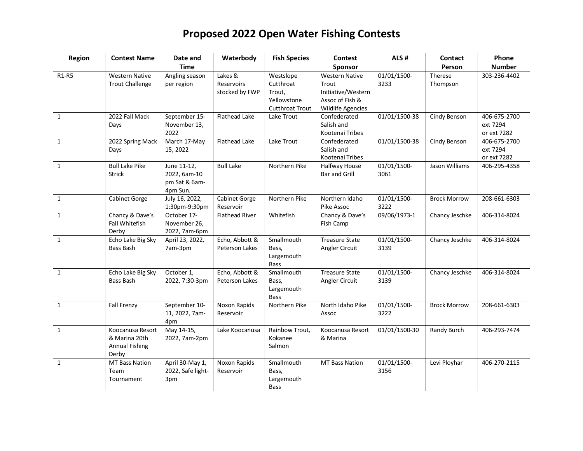| Region                         | <b>Contest Name</b>                                                 | Date and                                                 | Waterbody                               | <b>Fish Species</b>                                                       | Contest                                                                                             | ALS#                | Contact             | Phone                                   |
|--------------------------------|---------------------------------------------------------------------|----------------------------------------------------------|-----------------------------------------|---------------------------------------------------------------------------|-----------------------------------------------------------------------------------------------------|---------------------|---------------------|-----------------------------------------|
|                                |                                                                     | <b>Time</b>                                              |                                         |                                                                           | <b>Sponsor</b>                                                                                      |                     | Person              | <b>Number</b>                           |
| R <sub>1</sub> -R <sub>5</sub> | <b>Western Native</b><br><b>Trout Challenge</b>                     | Angling season<br>per region                             | Lakes &<br>Reservoirs<br>stocked by FWP | Westslope<br>Cutthroat<br>Trout,<br>Yellowstone<br><b>Cutthroat Trout</b> | <b>Western Native</b><br>Trout<br>Initiative/Western<br>Assoc of Fish &<br><b>Wildlife Agencies</b> | 01/01/1500-<br>3233 | Therese<br>Thompson | 303-236-4402                            |
| $\mathbf{1}$                   | 2022 Fall Mack<br>Days                                              | September 15-<br>November 13,<br>2022                    | <b>Flathead Lake</b>                    | Lake Trout                                                                | Confederated<br>Salish and<br>Kootenai Tribes                                                       | 01/01/1500-38       | Cindy Benson        | 406-675-2700<br>ext 7294<br>or ext 7282 |
| $\mathbf{1}$                   | 2022 Spring Mack<br>Days                                            | March 17-May<br>15, 2022                                 | Flathead Lake                           | Lake Trout                                                                | Confederated<br>Salish and<br>Kootenai Tribes                                                       | 01/01/1500-38       | Cindy Benson        | 406-675-2700<br>ext 7294<br>or ext 7282 |
| $\mathbf{1}$                   | <b>Bull Lake Pike</b><br><b>Strick</b>                              | June 11-12,<br>2022, 6am-10<br>pm Sat & 6am-<br>4pm Sun. | <b>Bull Lake</b>                        | Northern Pike                                                             | Halfway House<br><b>Bar and Grill</b>                                                               | 01/01/1500-<br>3061 | Jason Williams      | 406-295-4358                            |
| $\mathbf{1}$                   | <b>Cabinet Gorge</b>                                                | July 16, 2022,<br>1:30pm-9:30pm                          | <b>Cabinet Gorge</b><br>Reservoir       | Northern Pike                                                             | Northern Idaho<br>Pike Assoc                                                                        | 01/01/1500-<br>3222 | <b>Brock Morrow</b> | 208-661-6303                            |
| $\mathbf{1}$                   | Chancy & Dave's<br>Fall Whitefish<br>Derby                          | October 17-<br>November 26,<br>2022, 7am-6pm             | <b>Flathead River</b>                   | Whitefish                                                                 | Chancy & Dave's<br>Fish Camp                                                                        | 09/06/1973-1        | Chancy Jeschke      | 406-314-8024                            |
| $\mathbf{1}$                   | Echo Lake Big Sky<br>Bass Bash                                      | April 23, 2022,<br>7am-3pm                               | Echo, Abbott &<br>Peterson Lakes        | Smallmouth<br>Bass,<br>Largemouth<br><b>Bass</b>                          | <b>Treasure State</b><br>Angler Circuit                                                             | 01/01/1500-<br>3139 | Chancy Jeschke      | 406-314-8024                            |
| $\mathbf{1}$                   | Echo Lake Big Sky<br><b>Bass Bash</b>                               | October 1,<br>2022, 7:30-3pm                             | Echo, Abbott &<br>Peterson Lakes        | Smallmouth<br>Bass,<br>Largemouth<br><b>Bass</b>                          | <b>Treasure State</b><br>Angler Circuit                                                             | 01/01/1500-<br>3139 | Chancy Jeschke      | 406-314-8024                            |
| $\mathbf{1}$                   | <b>Fall Frenzy</b>                                                  | September 10-<br>11, 2022, 7am-<br>4pm                   | Noxon Rapids<br>Reservoir               | Northern Pike                                                             | North Idaho Pike<br>Assoc                                                                           | 01/01/1500-<br>3222 | <b>Brock Morrow</b> | 208-661-6303                            |
| $\mathbf{1}$                   | Koocanusa Resort<br>& Marina 20th<br><b>Annual Fishing</b><br>Derby | May 14-15,<br>2022, 7am-2pm                              | Lake Koocanusa                          | Rainbow Trout,<br>Kokanee<br>Salmon                                       | Koocanusa Resort<br>& Marina                                                                        | 01/01/1500-30       | Randy Burch         | 406-293-7474                            |
| $\mathbf{1}$                   | MT Bass Nation<br>Team<br>Tournament                                | April 30-May 1,<br>2022, Safe light-<br>3pm              | Noxon Rapids<br>Reservoir               | Smallmouth<br>Bass,<br>Largemouth<br><b>Bass</b>                          | <b>MT Bass Nation</b>                                                                               | 01/01/1500-<br>3156 | Levi Ployhar        | 406-270-2115                            |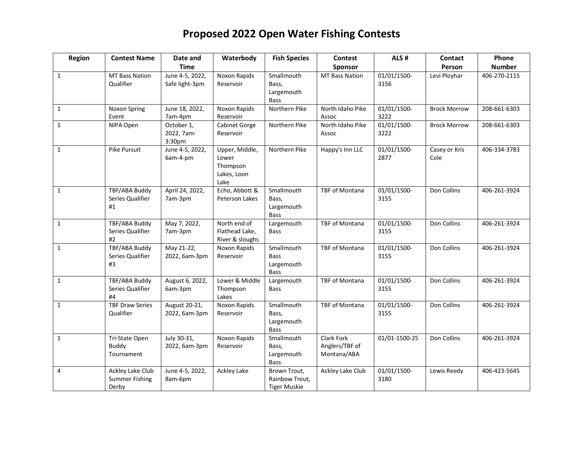| Region         | <b>Contest Name</b>                                | Date and                           | Waterbody                                                  | <b>Fish Species</b>                                    | Contest                                     | ALS#                | Contact               | Phone         |
|----------------|----------------------------------------------------|------------------------------------|------------------------------------------------------------|--------------------------------------------------------|---------------------------------------------|---------------------|-----------------------|---------------|
|                |                                                    | <b>Time</b>                        |                                                            |                                                        | Sponsor                                     |                     | Person                | <b>Number</b> |
| $\mathbf{1}$   | MT Bass Nation<br>Qualifier                        | June 4-5, 2022,<br>Safe light-3pm  | Noxon Rapids<br>Reservoir                                  | Smallmouth<br>Bass,<br>Largemouth<br><b>Bass</b>       | <b>MT Bass Nation</b>                       | 01/01/1500-<br>3156 | Levi Ployhar          | 406-270-2115  |
| $\mathbf{1}$   | Noxon Spring<br>Event                              | June 18, 2022,<br>7am-4pm          | Noxon Rapids<br>Reservoir                                  | Northern Pike                                          | North Idaho Pike<br>Assoc                   | 01/01/1500-<br>3222 | <b>Brock Morrow</b>   | 208-661-6303  |
| $\mathbf 1$    | NIPA Open                                          | October 1,<br>2022, 7am-<br>3:30pm | <b>Cabinet Gorge</b><br>Reservoir                          | Northern Pike                                          | North Idaho Pike<br>Assoc                   | 01/01/1500-<br>3222 | <b>Brock Morrow</b>   | 208-661-6303  |
| $\mathbf{1}$   | Pike Pursuit                                       | June 4-5, 2022,<br>6am-4-pm        | Upper, Middle,<br>Lower<br>Thompson<br>Lakes, Loon<br>Lake | Northern Pike                                          | Happy's Inn LLC                             | 01/01/1500-<br>2877 | Casey or Kris<br>Cole | 406-334-3783  |
| $\mathbf{1}$   | TBF/ABA Buddy<br>Series Qualifier<br>#1            | April 24, 2022,<br>7am-3pm         | Echo, Abbott &<br>Peterson Lakes                           | Smallmouth<br>Bass,<br>Largemouth<br><b>Bass</b>       | TBF of Montana                              | 01/01/1500-<br>3155 | Don Collins           | 406-261-3924  |
| $\mathbf{1}$   | TBF/ABA Buddy<br>Series Qualifier<br>#2            | May 7, 2022,<br>7am-3pm            | North end of<br>Flathead Lake,<br>River & sloughs          | Largemouth<br><b>Bass</b>                              | TBF of Montana                              | 01/01/1500-<br>3155 | Don Collins           | 406-261-3924  |
| $\mathbf{1}$   | TBF/ABA Buddy<br>Series Qualifier<br>#3            | May 21-22,<br>2022, 6am-3pm        | Noxon Rapids<br>Reservoir                                  | Smallmouth<br><b>Bass</b><br>Largemouth<br><b>Bass</b> | <b>TBF of Montana</b>                       | 01/01/1500-<br>3155 | Don Collins           | 406-261-3924  |
| $\mathbf{1}$   | TBF/ABA Buddy<br>Series Qualifier<br>#4            | August 6, 2022,<br>6am-3pm         | Lower & Middle<br>Thompson<br>Lakes                        | Largemouth<br><b>Bass</b>                              | <b>TBF of Montana</b>                       | 01/01/1500-<br>3155 | Don Collins           | 406-261-3924  |
| $\mathbf{1}$   | <b>TBF Draw Series</b><br>Qualifier                | August 20-21,<br>2022, 6am-3pm     | Noxon Rapids<br>Reservoir                                  | Smallmouth<br>Bass.<br>Largemouth<br><b>Bass</b>       | TBF of Montana                              | 01/01/1500-<br>3155 | Don Collins           | 406-261-3924  |
| $\mathbf{1}$   | Tri-State Open<br>Buddy<br>Tournament              | July 30-31,<br>2022, 6am-3pm       | Noxon Rapids<br>Reservoir                                  | Smallmouth<br>Bass.<br>Largemouth<br><b>Bass</b>       | Clark Fork<br>Anglers/TBF of<br>Montana/ABA | 01/01-1500-25       | Don Collins           | 406-261-3924  |
| $\overline{4}$ | Ackley Lake Club<br><b>Summer Fishing</b><br>Derby | June 4-5, 2022,<br>8am-6pm         | Ackley Lake                                                | Brown Trout,<br>Rainbow Trout,<br><b>Tiger Muskie</b>  | Ackley Lake Club                            | 01/01/1500-<br>3180 | Lewis Reedy           | 406-423-5645  |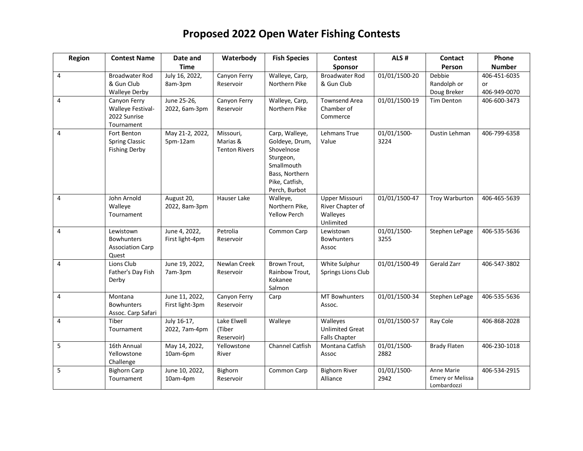| Region         | <b>Contest Name</b>                                                | Date and                          | Waterbody                                     | <b>Fish Species</b>                                                                                                            | Contest                                                                         | ALS#                | Contact                                              | Phone                              |
|----------------|--------------------------------------------------------------------|-----------------------------------|-----------------------------------------------|--------------------------------------------------------------------------------------------------------------------------------|---------------------------------------------------------------------------------|---------------------|------------------------------------------------------|------------------------------------|
|                |                                                                    | <b>Time</b>                       |                                               |                                                                                                                                | Sponsor                                                                         |                     | Person                                               | <b>Number</b>                      |
| 4              | <b>Broadwater Rod</b><br>& Gun Club<br><b>Walleye Derby</b>        | July 16, 2022,<br>8am-3pm         | Canyon Ferry<br>Reservoir                     | Walleye, Carp,<br>Northern Pike                                                                                                | <b>Broadwater Rod</b><br>& Gun Club                                             | 01/01/1500-20       | Debbie<br>Randolph or<br>Doug Breker                 | 406-451-6035<br>or<br>406-949-0070 |
| $\overline{4}$ | Canyon Ferry<br>Walleye Festival-<br>2022 Sunrise<br>Tournament    | June 25-26,<br>2022, 6am-3pm      | Canyon Ferry<br>Reservoir                     | Walleye, Carp,<br>Northern Pike                                                                                                | <b>Townsend Area</b><br>Chamber of<br>Commerce                                  | 01/01/1500-19       | <b>Tim Denton</b>                                    | 406-600-3473                       |
| 4              | Fort Benton<br><b>Spring Classic</b><br><b>Fishing Derby</b>       | May 21-2, 2022,<br>5pm-12am       | Missouri,<br>Marias &<br><b>Tenton Rivers</b> | Carp, Walleye,<br>Goldeye, Drum,<br>Shovelnose<br>Sturgeon,<br>Smallmouth<br>Bass, Northern<br>Pike, Catfish,<br>Perch, Burbot | Lehmans True<br>Value                                                           | 01/01/1500-<br>3224 | Dustin Lehman                                        | 406-799-6358                       |
| 4              | John Arnold<br>Walleye<br>Tournament                               | August 20,<br>2022, 8am-3pm       | Hauser Lake                                   | Walleye,<br>Northern Pike,<br><b>Yellow Perch</b>                                                                              | Upper Missouri<br>River Chapter of<br>Walleyes<br>Unlimited                     | 01/01/1500-47       | Troy Warburton                                       | 406-465-5639                       |
| 4              | Lewistown<br><b>Bowhunters</b><br><b>Association Carp</b><br>Quest | June 4, 2022,<br>First light-4pm  | Petrolia<br>Reservoir                         | Common Carp                                                                                                                    | Lewistown<br><b>Bowhunters</b><br>Assoc                                         | 01/01/1500-<br>3255 | Stephen LePage                                       | 406-535-5636                       |
| 4              | Lions Club<br>Father's Day Fish<br>Derby                           | June 19, 2022,<br>7am-3pm         | Newlan Creek<br>Reservoir                     | Brown Trout,<br>Rainbow Trout,<br>Kokanee<br>Salmon                                                                            | White Sulphur<br>Springs Lions Club                                             | 01/01/1500-49       | Gerald Zarr                                          | 406-547-3802                       |
| 4              | Montana<br><b>Bowhunters</b><br>Assoc. Carp Safari                 | June 11, 2022,<br>First light-3pm | Canyon Ferry<br>Reservoir                     | Carp                                                                                                                           | <b>MT Bowhunters</b><br>Assoc.                                                  | 01/01/1500-34       | Stephen LePage                                       | 406-535-5636                       |
| $\overline{4}$ | Tiber<br>Tournament                                                | July 16-17,<br>2022, 7am-4pm      | Lake Elwell<br>(Tiber<br>Reservoir)           | Walleye                                                                                                                        | $\overline{\text{W}}$ alleyes<br><b>Unlimited Great</b><br><b>Falls Chapter</b> | 01/01/1500-57       | Ray Cole                                             | 406-868-2028                       |
| 5              | 16th Annual<br>Yellowstone<br>Challenge                            | May 14, 2022,<br>10am-6pm         | Yellowstone<br>River                          | Channel Catfish                                                                                                                | Montana Catfish<br>Assoc                                                        | 01/01/1500-<br>2882 | <b>Brady Flaten</b>                                  | 406-230-1018                       |
| 5              | <b>Bighorn Carp</b><br>Tournament                                  | June 10, 2022,<br>10am-4pm        | Bighorn<br>Reservoir                          | Common Carp                                                                                                                    | <b>Bighorn River</b><br>Alliance                                                | 01/01/1500-<br>2942 | Anne Marie<br><b>Emery or Melissa</b><br>Lombardozzi | 406-534-2915                       |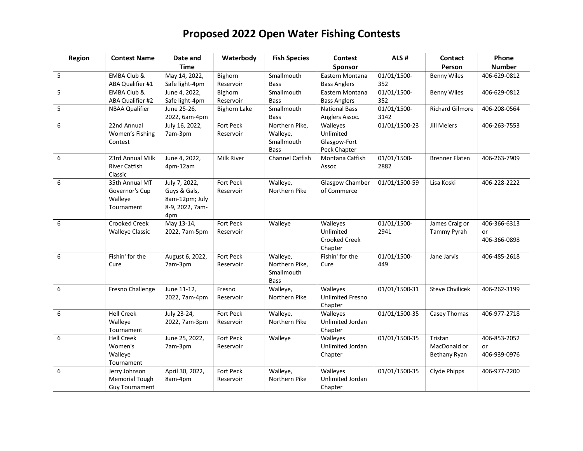| Region | <b>Contest Name</b>    | Date and               | Waterbody           | <b>Fish Species</b> | Contest                 | ALS#          | Contact                | Phone         |
|--------|------------------------|------------------------|---------------------|---------------------|-------------------------|---------------|------------------------|---------------|
|        |                        | <b>Time</b>            |                     |                     | Sponsor                 |               | Person                 | <b>Number</b> |
| 5      | <b>EMBA Club &amp;</b> | May 14, 2022,          | Bighorn             | Smallmouth          | Eastern Montana         | 01/01/1500-   | <b>Benny Wiles</b>     | 406-629-0812  |
|        | ABA Qualifier #1       | Safe light-4pm         | Reservoir           | <b>Bass</b>         | <b>Bass Anglers</b>     | 352           |                        |               |
| 5      | <b>EMBA Club &amp;</b> | June 4, 2022,          | Bighorn             | Smallmouth          | Eastern Montana         | 01/01/1500-   | <b>Benny Wiles</b>     | 406-629-0812  |
|        | ABA Qualifier #2       | Safe light-4pm         | Reservoir           | <b>Bass</b>         | <b>Bass Anglers</b>     | 352           |                        |               |
| 5      | <b>NBAA Qualifier</b>  | June 25-26.            | <b>Bighorn Lake</b> | Smallmouth          | <b>National Bass</b>    | 01/01/1500-   | <b>Richard Gilmore</b> | 406-208-0564  |
|        |                        | 2022, 6am-4pm          |                     | <b>Bass</b>         | Anglers Assoc.          | 3142          |                        |               |
| 6      | 22nd Annual            | July 16, 2022,         | Fort Peck           | Northern Pike,      | Walleyes                | 01/01/1500-23 | <b>Jill Meiers</b>     | 406-263-7553  |
|        | Women's Fishing        | 7am-3pm                | Reservoir           | Walleye,            | Unlimited               |               |                        |               |
|        | Contest                |                        |                     | Smallmouth          | Glasgow-Fort            |               |                        |               |
|        |                        |                        |                     | <b>Bass</b>         | Peck Chapter            |               |                        |               |
| 6      | 23rd Annual Milk       | June 4, 2022,          | <b>Milk River</b>   | Channel Catfish     | Montana Catfish         | 01/01/1500-   | <b>Brenner Flaten</b>  | 406-263-7909  |
|        | <b>River Catfish</b>   | 4pm-12am               |                     |                     | Assoc                   | 2882          |                        |               |
|        | Classic                |                        |                     |                     |                         |               |                        |               |
| 6      | 35th Annual MT         | July 7, 2022,          | Fort Peck           | Walleye,            | Glasgow Chamber         | 01/01/1500-59 | Lisa Koski             | 406-228-2222  |
|        | Governor's Cup         | Guys & Gals,           | Reservoir           | Northern Pike       | of Commerce             |               |                        |               |
|        | Walleye<br>Tournament  | 8am-12pm; July         |                     |                     |                         |               |                        |               |
|        |                        | 8-9, 2022, 7am-<br>4pm |                     |                     |                         |               |                        |               |
| 6      | <b>Crooked Creek</b>   | May 13-14,             | Fort Peck           | Walleye             | Walleyes                | 01/01/1500-   | James Craig or         | 406-366-6313  |
|        | <b>Walleye Classic</b> | 2022, 7am-5pm          | Reservoir           |                     | Unlimited               | 2941          | Tammy Pyrah            | or            |
|        |                        |                        |                     |                     | Crooked Creek           |               |                        | 406-366-0898  |
|        |                        |                        |                     |                     | Chapter                 |               |                        |               |
| 6      | Fishin' for the        | August 6, 2022,        | Fort Peck           | Walleye,            | Fishin' for the         | 01/01/1500-   | Jane Jarvis            | 406-485-2618  |
|        | Cure                   | 7am-3pm                | Reservoir           | Northern Pike,      | Cure                    | 449           |                        |               |
|        |                        |                        |                     | Smallmouth          |                         |               |                        |               |
|        |                        |                        |                     | <b>Bass</b>         |                         |               |                        |               |
| 6      | Fresno Challenge       | June 11-12,            | Fresno              | Walleye,            | Walleyes                | 01/01/1500-31 | <b>Steve Chvilicek</b> | 406-262-3199  |
|        |                        | 2022, 7am-4pm          | Reservoir           | Northern Pike       | <b>Unlimited Fresno</b> |               |                        |               |
|        |                        |                        |                     |                     | Chapter                 |               |                        |               |
| 6      | <b>Hell Creek</b>      | July 23-24,            | Fort Peck           | Walleye,            | Walleyes                | 01/01/1500-35 | Casey Thomas           | 406-977-2718  |
|        | Walleye                | 2022, 7am-3pm          | Reservoir           | Northern Pike       | Unlimited Jordan        |               |                        |               |
|        | Tournament             |                        |                     |                     | Chapter                 |               |                        |               |
| 6      | <b>Hell Creek</b>      | June 25, 2022,         | Fort Peck           | Walleye             | Walleyes                | 01/01/1500-35 | Tristan                | 406-853-2052  |
|        | Women's                | 7am-3pm                | Reservoir           |                     | Unlimited Jordan        |               | MacDonald or           | or            |
|        | Walleye                |                        |                     |                     | Chapter                 |               | Bethany Ryan           | 406-939-0976  |
|        | Tournament             |                        |                     |                     |                         |               |                        |               |
| 6      | Jerry Johnson          | April 30, 2022,        | Fort Peck           | Walleye,            | Walleyes                | 01/01/1500-35 | Clyde Phipps           | 406-977-2200  |
|        | <b>Memorial Tough</b>  | 8am-4pm                | Reservoir           | Northern Pike       | Unlimited Jordan        |               |                        |               |
|        | <b>Guy Tournament</b>  |                        |                     |                     | Chapter                 |               |                        |               |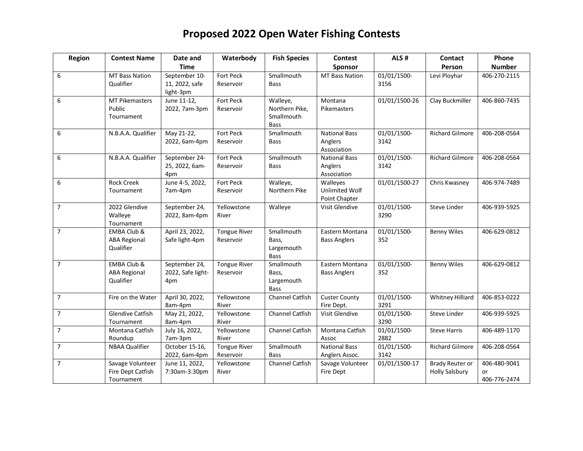| Region         | <b>Contest Name</b>                                        | Date and                                     | Waterbody                        | <b>Fish Species</b>                                     | <b>Contest</b>                                     | ALS#                | Contact                                         | Phone                              |
|----------------|------------------------------------------------------------|----------------------------------------------|----------------------------------|---------------------------------------------------------|----------------------------------------------------|---------------------|-------------------------------------------------|------------------------------------|
|                |                                                            | <b>Time</b>                                  |                                  |                                                         | Sponsor                                            |                     | Person                                          | <b>Number</b>                      |
| 6              | <b>MT Bass Nation</b><br>Qualifier                         | September 10-<br>11, 2022, safe<br>light-3pm | <b>Fort Peck</b><br>Reservoir    | Smallmouth<br><b>Bass</b>                               | <b>MT Bass Nation</b>                              | 01/01/1500-<br>3156 | Levi Ployhar                                    | 406-270-2115                       |
| 6              | <b>MT Pikemasters</b><br>Public<br>Tournament              | June 11-12,<br>2022, 7am-3pm                 | <b>Fort Peck</b><br>Reservoir    | Walleye,<br>Northern Pike,<br>Smallmouth<br><b>Bass</b> | Montana<br><b>Pikemasters</b>                      | 01/01/1500-26       | Clay Buckmiller                                 | 406-860-7435                       |
| 6              | N.B.A.A. Qualifier                                         | May 21-22,<br>2022, 6am-4pm                  | Fort Peck<br>Reservoir           | Smallmouth<br><b>Bass</b>                               | <b>National Bass</b><br>Anglers<br>Association     | 01/01/1500-<br>3142 | <b>Richard Gilmore</b>                          | 406-208-0564                       |
| 6              | N.B.A.A. Qualifier                                         | September 24-<br>25, 2022, 6am-<br>4pm       | <b>Fort Peck</b><br>Reservoir    | Smallmouth<br><b>Bass</b>                               | <b>National Bass</b><br>Anglers<br>Association     | 01/01/1500-<br>3142 | <b>Richard Gilmore</b>                          | 406-208-0564                       |
| 6              | <b>Rock Creek</b><br>Tournament                            | June 4-5, 2022,<br>7am-4pm                   | Fort Peck<br>Reservoir           | Walleye,<br>Northern Pike                               | Walleyes<br><b>Unlimited Wolf</b><br>Point Chapter | 01/01/1500-27       | Chris Kwasney                                   | 406-974-7489                       |
| $\overline{7}$ | 2022 Glendive<br>Walleye<br>Tournament                     | September 24,<br>2022, 8am-4pm               | Yellowstone<br>River             | Walleye                                                 | <b>Visit Glendive</b>                              | 01/01/1500-<br>3290 | <b>Steve Linder</b>                             | 406-939-5925                       |
| $\overline{7}$ | EMBA Club &<br><b>ABA Regional</b><br>Qualifier            | April 23, 2022,<br>Safe light-4pm            | <b>Tongue River</b><br>Reservoir | Smallmouth<br>Bass,<br>Largemouth<br><b>Bass</b>        | Eastern Montana<br><b>Bass Anglers</b>             | 01/01/1500-<br>352  | <b>Benny Wiles</b>                              | 406-629-0812                       |
| $\overline{7}$ | <b>EMBA Club &amp;</b><br><b>ABA Regional</b><br>Qualifier | September 24,<br>2022, Safe light-<br>4pm    | <b>Tongue River</b><br>Reservoir | Smallmouth<br>Bass,<br>Largemouth<br><b>Bass</b>        | Eastern Montana<br><b>Bass Anglers</b>             | 01/01/1500-<br>352  | <b>Benny Wiles</b>                              | 406-629-0812                       |
| $\overline{7}$ | Fire on the Water                                          | April 30, 2022,<br>8am-4pm                   | Yellowstone<br>River             | Channel Catfish                                         | <b>Custer County</b><br>Fire Dept.                 | 01/01/1500-<br>3291 | Whitney Hilliard                                | 406-853-0222                       |
| $\overline{7}$ | <b>Glendive Catfish</b><br>Tournament                      | May 21, 2022,<br>8am-4pm                     | Yellowstone<br>River             | Channel Catfish                                         | Visit Glendive                                     | 01/01/1500-<br>3290 | Steve Linder                                    | 406-939-5925                       |
| $\overline{7}$ | Montana Catfish<br>Roundup                                 | July 16, 2022,<br>7am-3pm                    | Yellowstone<br>River             | Channel Catfish                                         | Montana Catfish<br>Assoc                           | 01/01/1500-<br>2882 | <b>Steve Harris</b>                             | 406-489-1170                       |
| $\overline{7}$ | <b>NBAA Qualifier</b>                                      | October 15-16,<br>2022, 6am-4pm              | <b>Tongue River</b><br>Reservoir | Smallmouth<br><b>Bass</b>                               | <b>National Bass</b><br>Anglers Assoc.             | 01/01/1500-<br>3142 | <b>Richard Gilmore</b>                          | 406-208-0564                       |
| $\overline{7}$ | Savage Volunteer<br>Fire Dept Catfish<br>Tournament        | June 11, 2022,<br>7:30am-3:30pm              | Yellowstone<br>River             | Channel Catfish                                         | Savage Volunteer<br>Fire Dept                      | 01/01/1500-17       | <b>Brady Reuter or</b><br><b>Holly Salsbury</b> | 406-480-9041<br>or<br>406-776-2474 |